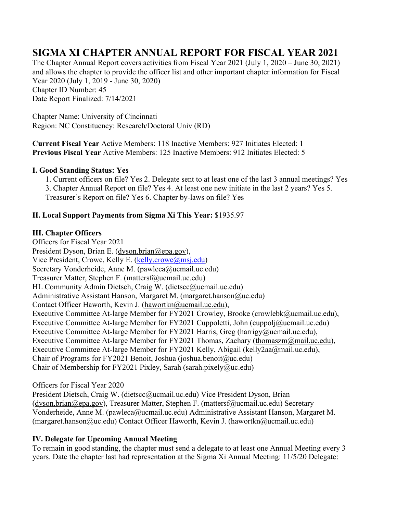# **SIGMA XI CHAPTER ANNUAL REPORT FOR FISCAL YEAR 2021**

The Chapter Annual Report covers activities from Fiscal Year 2021 (July 1, 2020 – June 30, 2021) and allows the chapter to provide the officer list and other important chapter information for Fiscal Year 2020 (July 1, 2019 - June 30, 2020) Chapter ID Number: 45 Date Report Finalized: 7/14/2021

Chapter Name: University of Cincinnati Region: NC Constituency: Research/Doctoral Univ (RD)

**Current Fiscal Year** Active Members: 118 Inactive Members: 927 Initiates Elected: 1 **Previous Fiscal Year** Active Members: 125 Inactive Members: 912 Initiates Elected: 5

#### **I. Good Standing Status: Yes**

1. Current officers on file? Yes 2. Delegate sent to at least one of the last 3 annual meetings? Yes 3. Chapter Annual Report on file? Yes 4. At least one new initiate in the last 2 years? Yes 5. Treasurer's Report on file? Yes 6. Chapter by-laws on file? Yes

## **II. Local Support Payments from Sigma Xi This Year:** \$1935.97

#### **III. Chapter Officers**

Officers for Fiscal Year 2021 President Dyson, Brian E. (dyson.brian@epa.gov), Vice President, Crowe, Kelly E. (kelly.crowe@msj.edu) Secretary Vonderheide, Anne M. (pawleca@ucmail.uc.edu) Treasurer Matter, Stephen F. (mattersf@ucmail.uc.edu) HL Community Admin Dietsch, Craig W. (dietscc@ucmail.uc.edu) Administrative Assistant Hanson, Margaret M. (margaret.hanson@uc.edu) Contact Officer Haworth, Kevin J. (hawortkn@ucmail.uc.edu), Executive Committee At-large Member for FY2021 Crowley, Brooke (crowlebk@ucmail.uc.edu), Executive Committee At-large Member for FY2021 Cuppoletti, John (cuppolj@ucmail.uc.edu) Executive Committee At-large Member for FY2021 Harris, Greg (harrigy@ucmail.uc.edu), Executive Committee At-large Member for FY2021 Thomas, Zachary (thomaszm@mail.uc.edu), Executive Committee At-large Member for FY2021 Kelly, Abigail (kelly2aa@mail.uc.edu), Chair of Programs for FY2021 Benoit, Joshua (joshua.benoit@uc.edu) Chair of Membership for FY2021 Pixley, Sarah (sarah.pixely@uc.edu)

## Officers for Fiscal Year 2020

President Dietsch, Craig W. (dietscc@ucmail.uc.edu) Vice President Dyson, Brian (dyson.brian@epa.gov), Treasurer Matter, Stephen F. (mattersf@ucmail.uc.edu) Secretary Vonderheide, Anne M. (pawleca@ucmail.uc.edu) Administrative Assistant Hanson, Margaret M. (margaret.hanson@uc.edu) Contact Officer Haworth, Kevin J. (hawortkn@ucmail.uc.edu)

## **IV. Delegate for Upcoming Annual Meeting**

To remain in good standing, the chapter must send a delegate to at least one Annual Meeting every 3 years. Date the chapter last had representation at the Sigma Xi Annual Meeting: 11/5/20 Delegate: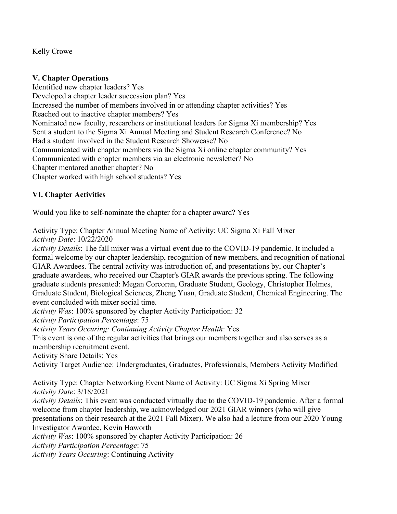Kelly Crowe

#### **V. Chapter Operations**

Identified new chapter leaders? Yes Developed a chapter leader succession plan? Yes Increased the number of members involved in or attending chapter activities? Yes Reached out to inactive chapter members? Yes Nominated new faculty, researchers or institutional leaders for Sigma Xi membership? Yes Sent a student to the Sigma Xi Annual Meeting and Student Research Conference? No Had a student involved in the Student Research Showcase? No Communicated with chapter members via the Sigma Xi online chapter community? Yes Communicated with chapter members via an electronic newsletter? No Chapter mentored another chapter? No Chapter worked with high school students? Yes

## **VI. Chapter Activities**

Would you like to self-nominate the chapter for a chapter award? Yes

Activity Type: Chapter Annual Meeting Name of Activity: UC Sigma Xi Fall Mixer *Activity Date*: 10/22/2020

*Activity Details*: The fall mixer was a virtual event due to the COVID-19 pandemic. It included a formal welcome by our chapter leadership, recognition of new members, and recognition of national GIAR Awardees. The central activity was introduction of, and presentations by, our Chapter's graduate awardees, who received our Chapter's GIAR awards the previous spring. The following graduate students presented: Megan Corcoran, Graduate Student, Geology, Christopher Holmes, Graduate Student, Biological Sciences, Zheng Yuan, Graduate Student, Chemical Engineering. The event concluded with mixer social time.

*Activity Was*: 100% sponsored by chapter Activity Participation: 32

*Activity Participation Percentage*: 75

*Activity Years Occuring: Continuing Activity Chapter Health*: Yes.

This event is one of the regular activities that brings our members together and also serves as a membership recruitment event.

Activity Share Details: Yes

Activity Target Audience: Undergraduates, Graduates, Professionals, Members Activity Modified

Activity Type: Chapter Networking Event Name of Activity: UC Sigma Xi Spring Mixer *Activity Date*: 3/18/2021

*Activity Details*: This event was conducted virtually due to the COVID-19 pandemic. After a formal welcome from chapter leadership, we acknowledged our 2021 GIAR winners (who will give presentations on their research at the 2021 Fall Mixer). We also had a lecture from our 2020 Young Investigator Awardee, Kevin Haworth

*Activity Was*: 100% sponsored by chapter Activity Participation: 26

*Activity Participation Percentage*: 75

*Activity Years Occuring*: Continuing Activity